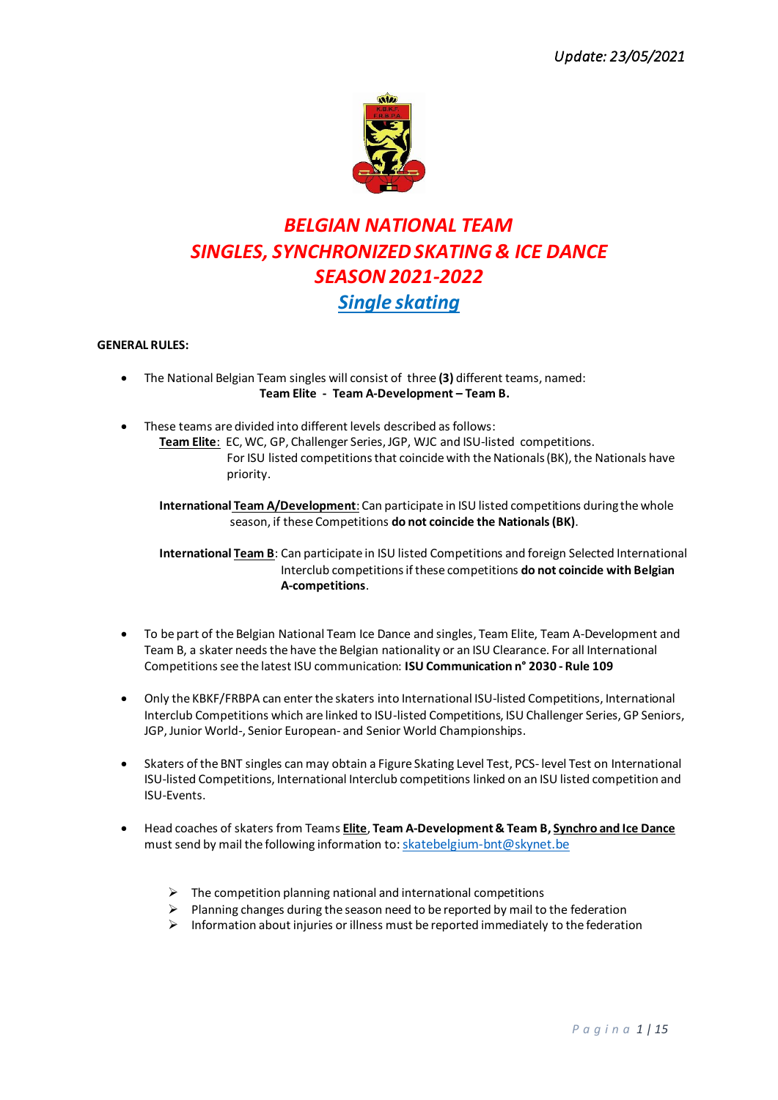

# *BELGIAN NATIONAL TEAM SINGLES, SYNCHRONIZED SKATING & ICE DANCE SEASON 2021-2022 Single skating*

# **GENERAL RULES:**

- The National Belgian Team singles will consist of three **(3)** different teams, named:  **Team Elite - Team A-Development – Team B.**
- These teams are divided into different levels described as follows:  **Team Elite**: EC, WC, GP, Challenger Series, JGP, WJC and ISU-listed competitions. For ISU listed competitions that coincide with the Nationals (BK), the Nationals have priority.

 **International Team A/Development**: Can participate in ISU listed competitions during the whole season, if these Competitions **do not coincide the Nationals (BK)**.

 **International Team B**: Can participate in ISU listed Competitions and foreign Selected International Interclub competitionsif these competitions **do not coincide with Belgian A-competitions**.

- To be part of the Belgian National Team Ice Dance and singles, Team Elite, Team A-Development and Team B, a skater needs the have the Belgian nationality or an ISU Clearance. For all International Competitions see the latest ISU communication: **ISU Communication n° 2030 - Rule 109**
- Only the KBKF/FRBPA can enter the skaters into International ISU-listed Competitions, International Interclub Competitions which are linked to ISU-listed Competitions, ISU Challenger Series, GP Seniors, JGP, Junior World-, Senior European- and Senior World Championships.
- Skaters of the BNT singles can may obtain a Figure Skating Level Test, PCS- level Test on International ISU-listed Competitions, International Interclub competitions linked on an ISU listed competition and ISU-Events.
- Head coaches of skaters from Teams **Elite**, **Team A-Development& Team B, Synchro and Ice Dance** must send by mail the following information to: skatebelgium-bnt@skynet.be
	- $\triangleright$  The competition planning national and international competitions
	- $\triangleright$  Planning changes during the season need to be reported by mail to the federation
	- $\triangleright$  Information about injuries or illness must be reported immediately to the federation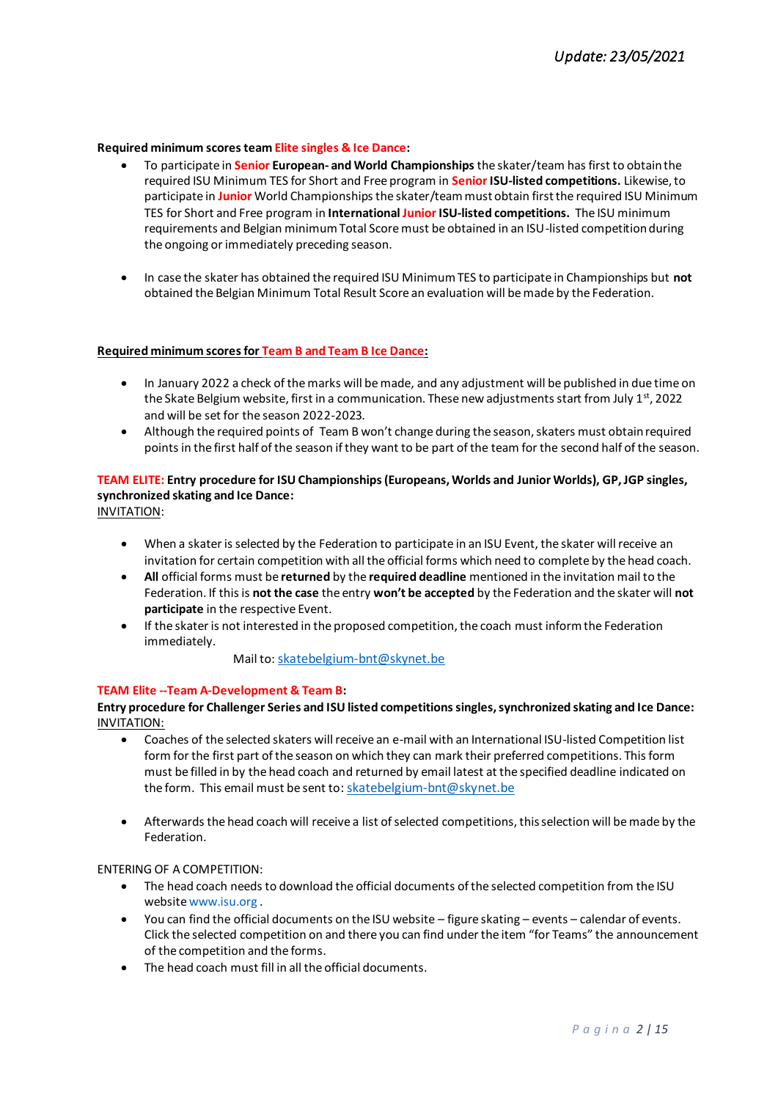#### **Required minimum scores team Elite singles & Ice Dance:**

- To participate in **Senior European- and World Championships** the skater/team has first to obtain the required ISU Minimum TES for Short and Free program in **Senior ISU-listed competitions.** Likewise, to participate in **Junior** World Championships the skater/teammust obtain first the required ISU Minimum TES for Short and Free program in **International Junior ISU-listed competitions.** The ISU minimum requirements and Belgian minimum Total Score must be obtained in an ISU-listed competition during the ongoing or immediately preceding season.
- In case the skater has obtained the required ISU Minimum TES to participate in Championships but **not** obtained the Belgian Minimum Total Result Score an evaluation will be made by the Federation.

#### **Required minimum scores for Team B and Team B Ice Dance:**

- In January 2022 a check of the marks will be made, and any adjustment will be published in due time on the Skate Belgium website, first in a communication. These new adjustments start from July  $1^{st}$ , 2022 and will be set for the season 2022-2023.
- Although the required points of Team B won't change during the season, skaters must obtain required points in the first half of the season if they want to be part of the team for the second half of the season.

# **TEAM ELITE: Entry procedure for ISU Championships (Europeans, Worlds and Junior Worlds), GP, JGP singles, synchronized skating and Ice Dance:**

INVITATION:

- When a skater is selected by the Federation to participate in an ISU Event, the skater will receive an invitation for certain competition with all the official forms which need to complete by the head coach.
- **All** official forms must be **returned** by the **required deadline** mentioned in the invitation mail to the Federation. If this is **not the case** the entry **won't be accepted** by the Federation and the skater will **not participate** in the respective Event.
- If the skater is not interested in the proposed competition, the coach must inform the Federation immediately.

#### Mail to: [skatebelgium-bnt@skynet.be](mailto:skatebelgium-bnt@skynet.be)

#### **TEAM Elite --Team A-Development & Team B:**

**Entry procedure for Challenger Series and ISU listed competitions singles, synchronized skating and Ice Dance:** INVITATION:

- Coaches of the selected skaters will receive an e-mail with an International ISU-listed Competition list form for the first part of the season on which they can mark their preferred competitions. This form must be filled in by the head coach and returned by email latest at the specified deadline indicated on the form. This email must be sent to[: skatebelgium-bnt@skynet.be](mailto:skatebelgium-bnt@skynet.be)
- Afterwards the head coach will receive a list of selected competitions, this selection will be made by the Federation.

ENTERING OF A COMPETITION:

- The head coach needs to download the official documents of the selected competition from the ISU websit[e www.isu.org](http://www.isu.org/) .
- You can find the official documents on the ISU website figure skating events calendar of events. Click the selected competition on and there you can find under the item "for Teams" the announcement of the competition and the forms.
- The head coach must fill in all the official documents.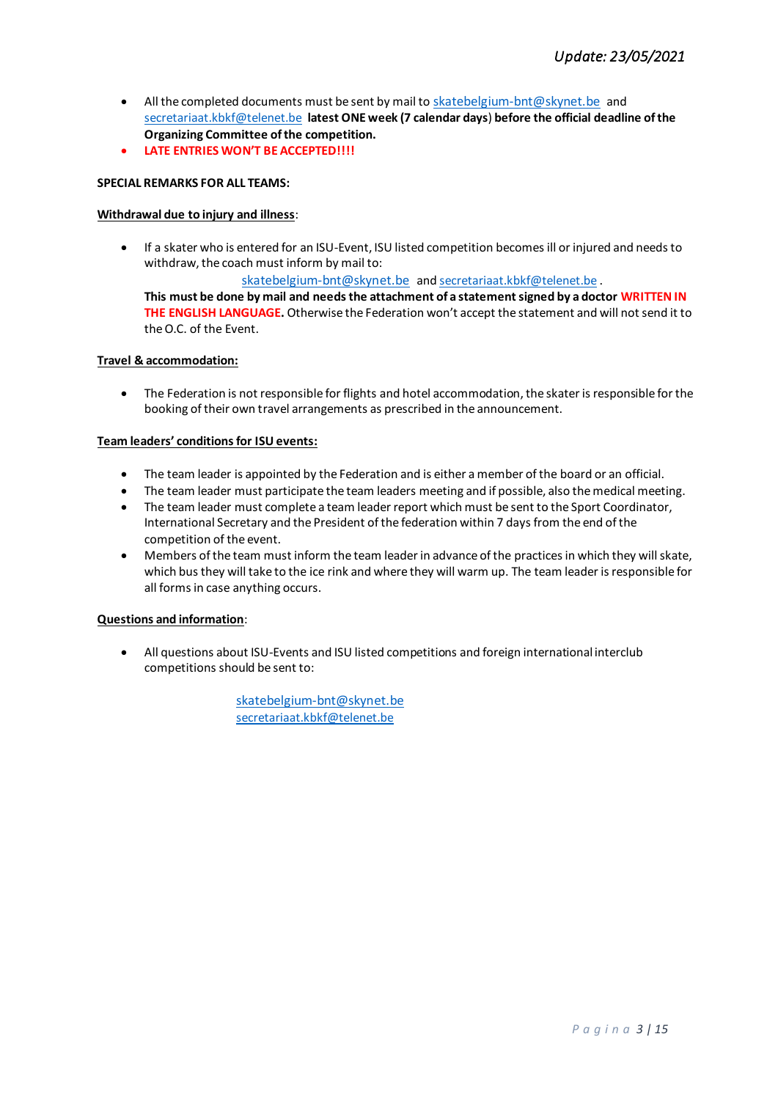- All the completed documents must be sent by mail to [skatebelgium-bnt@skynet.be](mailto:skatebelgium-bnt@skynet.be) and [secretariaat.kbkf@telenet.be](mailto:secretariaat.kbkf@telenet.be) **latest ONE week (7 calendar days**) **before the official deadline of the Organizing Committee of the competition.**
- **LATE ENTRIES WON'T BE ACCEPTED!!!!**

# **SPECIAL REMARKS FOR ALL TEAMS:**

# **Withdrawal due to injury and illness**:

• If a skater who is entered for an ISU-Event, ISU listed competition becomes ill or injured and needs to withdraw, the coach must inform by mail to:

[skatebelgium-bnt@skynet.be](mailto:skatebelgium-bnt@skynet.be) and [secretariaat.kbkf@telenet.be](mailto:secretariaat.kbkf@telenet.be) .

**This must be done by mail and needs the attachment of a statement signed by a doctor WRITTEN IN THE ENGLISH LANGUAGE.** Otherwise the Federation won't accept the statement and will not send it to the O.C. of the Event.

# **Travel & accommodation:**

• The Federation is not responsible for flights and hotel accommodation, the skater is responsible for the booking of their own travel arrangements as prescribed in the announcement.

# **Team leaders' conditions for ISU events:**

- The team leader is appointed by the Federation and is either a member of the board or an official.
- The team leader must participate the team leaders meeting and if possible, also the medical meeting.
- The team leader must complete a team leader report which must be sent to the Sport Coordinator, International Secretary and the President of the federation within 7 days from the end of the competition of the event.
- Members of the team must inform the team leader in advance of the practices in which they will skate, which bus they will take to the ice rink and where they will warm up. The team leader is responsible for all forms in case anything occurs.

# **Questions and information**:

• All questions about ISU-Events and ISU listed competitions and foreign international interclub competitions should be sent to:

> [skatebelgium-bnt@skynet.be](mailto:skatebelgium-bnt@skynet.be) secretariaat.kbkf@telenet.be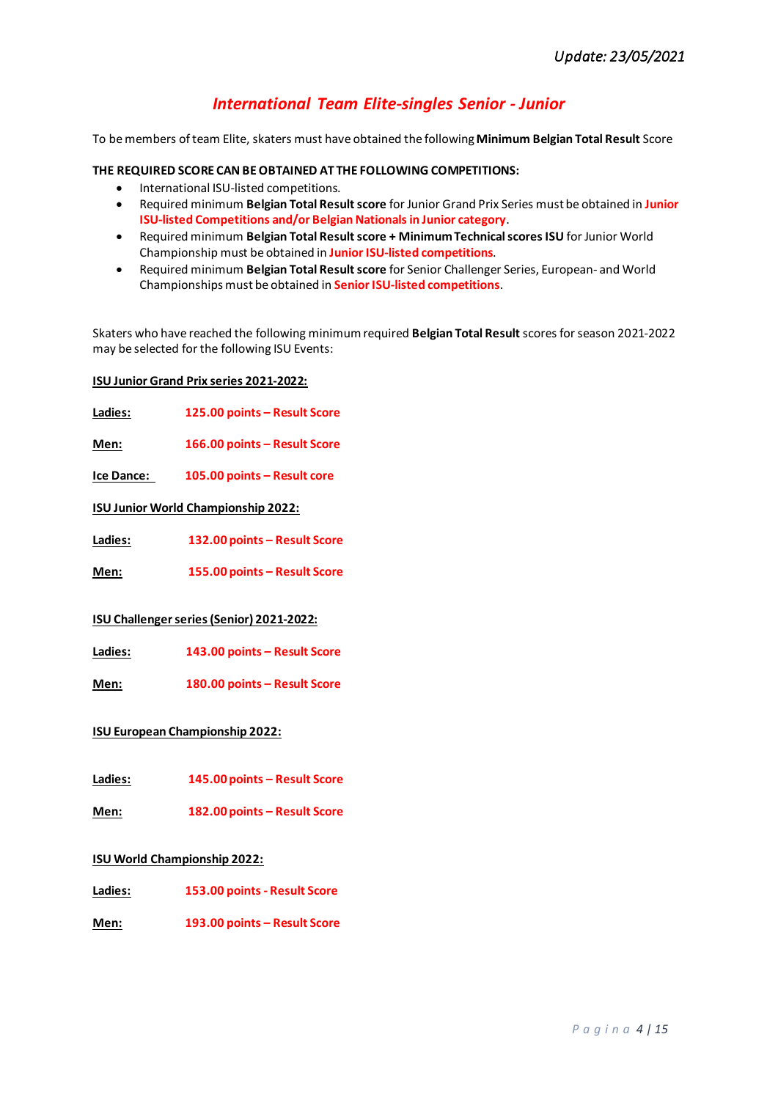# *International Team Elite-singles Senior - Junior*

To be members of team Elite, skaters must have obtained the following **Minimum Belgian Total Result** Score

### **THE REQUIRED SCORE CAN BE OBTAINED AT THE FOLLOWING COMPETITIONS:**

- International ISU-listed competitions.
- Required minimum **Belgian Total Resultscore** for Junior Grand Prix Series must be obtained in **Junior ISU-listed Competitions and/or Belgian Nationals in Junior category**.
- Required minimum **Belgian Total Resultscore + Minimum Technical scores ISU** for Junior World Championship must be obtained in **JuniorISU-listed competitions**.
- Required minimum **Belgian Total Result score** for Senior Challenger Series, European- and World Championships must be obtained in **Senior ISU-listed competitions**.

Skaters who have reached the following minimum required **Belgian Total Result** scores for season 2021-2022 may be selected for the following ISU Events:

### **ISU Junior Grand Prix series 2021-2022:**

**Ladies: 125.00 points – Result Score** 

**Men: 166.00 points – Result Score**

**Ice Dance: 105.00 points – Result core** 

**ISU Junior World Championship 2022:**

**Ladies: 132.00 points – Result Score**

**Men: 155.00 points – Result Score**

### **ISU Challenger series (Senior) 2021-2022:**

**Ladies: 143.00 points – Result Score**

**Men: 180.00 points – Result Score**

### **ISU European Championship 2022:**

**Ladies: 145.00 points – Result Score** 

**Men: 182.00 points – Result Score**

### **ISU World Championship 2022:**

**Ladies: 153.00 points - Result Score**

**Men: 193.00 points – Result Score**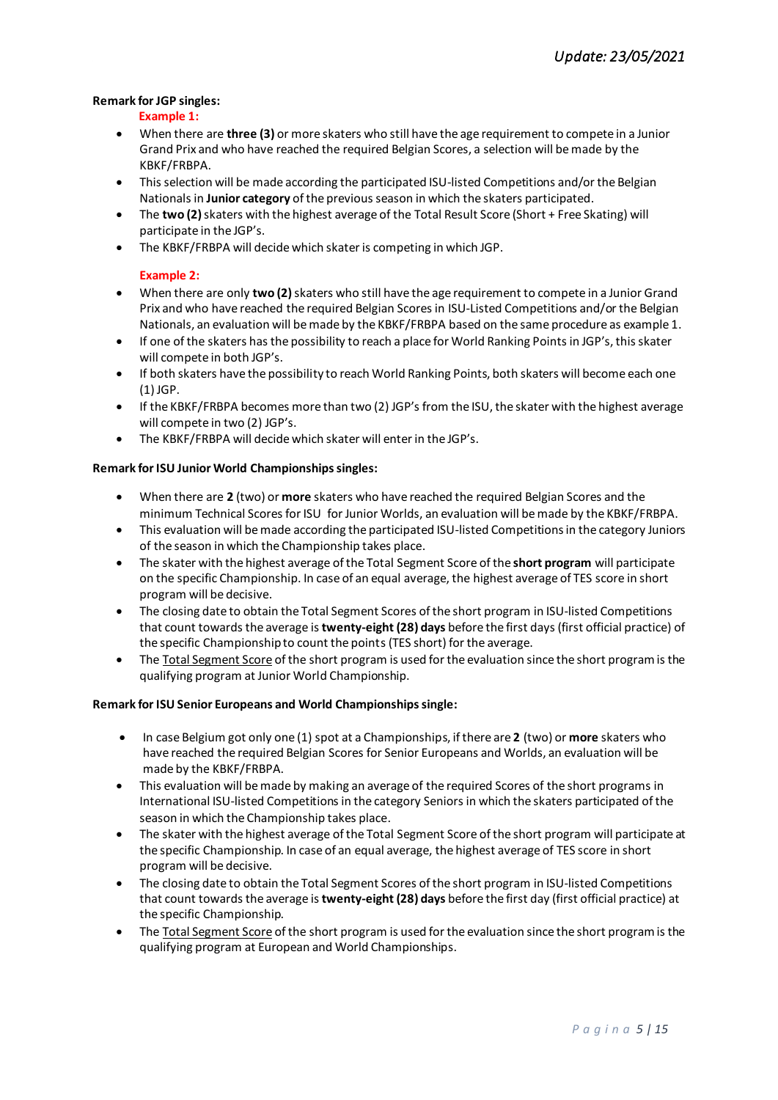### **Remark for JGP singles:**

### **Example 1:**

- When there are **three (3)** or more skaters who still have the age requirement to compete in a Junior Grand Prix and who have reached the required Belgian Scores, a selection will be made by the KBKF/FRBPA.
- This selection will be made according the participated ISU-listed Competitions and/or the Belgian Nationals in **Junior category** of the previous season in which the skaters participated.
- The **two (2)**skaters with the highest average of the Total Result Score (Short + Free Skating) will participate in the JGP's.
- The KBKF/FRBPA will decide which skater is competing in which JGP.

# **Example 2:**

- When there are only **two (2)**skaters who still have the age requirement to compete in a Junior Grand Prix and who have reached the required Belgian Scores in ISU-Listed Competitions and/or the Belgian Nationals, an evaluation will be made by the KBKF/FRBPA based on the same procedure as example 1.
- If one of the skaters has the possibility to reach a place for World Ranking Points in JGP's, this skater will compete in both JGP's.
- If both skaters have the possibility to reach World Ranking Points, both skaters will become each one (1) JGP.
- If the KBKF/FRBPA becomes more than two (2) JGP's from the ISU, the skater with the highest average will compete in two (2) JGP's.
- The KBKF/FRBPA will decide which skater will enter in the JGP's.

# **Remark for ISU Junior World Championships singles:**

- When there are **2** (two) or **more** skaters who have reached the required Belgian Scores and the minimum Technical Scores for ISU for Junior Worlds, an evaluation will be made by the KBKF/FRBPA.
- This evaluation will be made according the participated ISU-listed Competitions in the category Juniors of the season in which the Championship takes place.
- The skater with the highest average of the Total Segment Score of the **short program** will participate on the specific Championship. In case of an equal average, the highest average of TES score in short program will be decisive.
- The closing date to obtain the Total Segment Scores of the short program in ISU-listed Competitions that count towards the average is **twenty-eight (28) days** before the first days (first official practice) of the specific Championship to count the points (TES short) for the average.
- The Total Segment Score of the short program is used for the evaluation since the short program is the qualifying program at Junior World Championship.

### **Remark for ISU Senior Europeans and World Championships single:**

- In case Belgium got only one (1) spot at a Championships, if there are **2** (two) or **more** skaters who have reached the required Belgian Scores for Senior Europeans and Worlds, an evaluation will be made by the KBKF/FRBPA.
- This evaluation will be made by making an average of the required Scores of the short programs in International ISU-listed Competitions in the category Seniors in which the skaters participated of the season in which the Championship takes place.
- The skater with the highest average of the Total Segment Score of the short program will participate at the specific Championship. In case of an equal average, the highest average of TES score in short program will be decisive.
- The closing date to obtain the Total Segment Scores of the short program in ISU-listed Competitions that count towards the average is **twenty-eight (28) days** before the first day (first official practice) at the specific Championship.
- The Total Segment Score of the short program is used for the evaluation since the short program is the qualifying program at European and World Championships.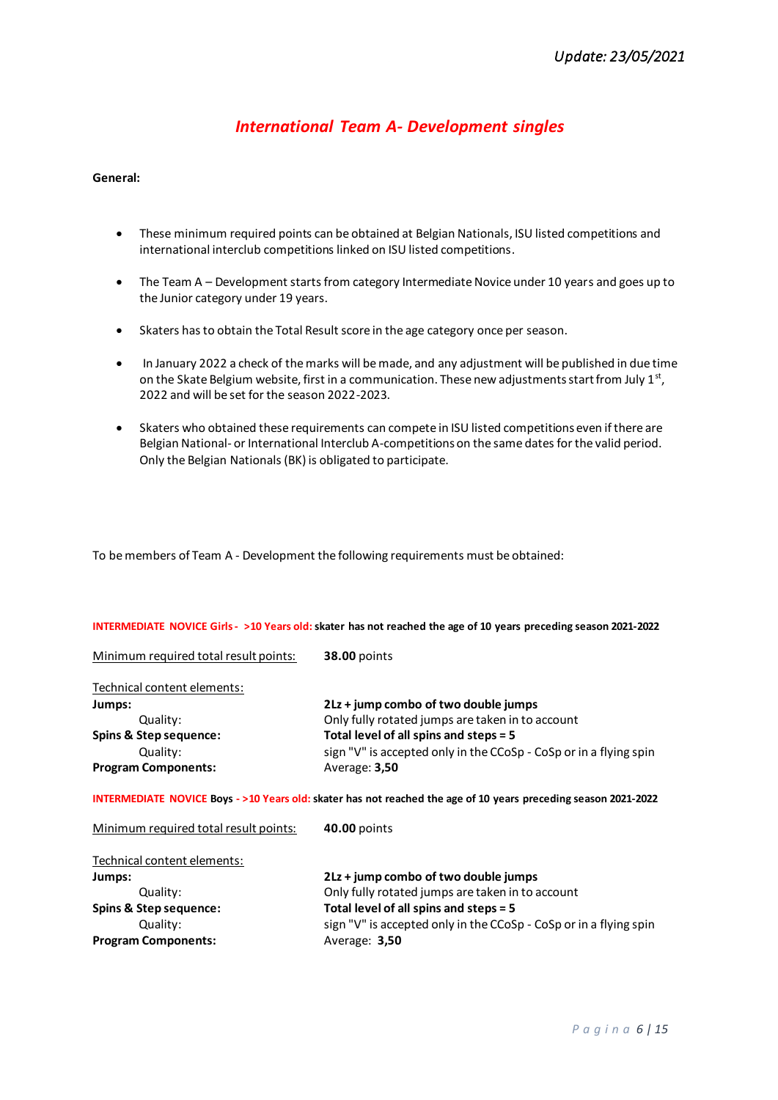# *International Team A- Development singles*

#### **General:**

- These minimum required points can be obtained at Belgian Nationals, ISU listed competitions and international interclub competitions linked on ISU listed competitions.
- The Team A Development starts from category Intermediate Novice under 10 years and goes up to the Junior category under 19 years.
- Skaters has to obtain the Total Result score in the age category once per season.
- In January 2022 a check of the marks will be made, and any adjustment will be published in due time on the Skate Belgium website, first in a communication. These new adjustments start from July 1st, 2022 and will be set for the season 2022-2023.
- Skaters who obtained these requirements can compete in ISU listed competitions even if there are Belgian National- or International Interclub A-competitions on the same dates for the valid period. Only the Belgian Nationals (BK) is obligated to participate.

To be members of Team A - Development the following requirements must be obtained:

#### **INTERMEDIATE NOVICE Girls - >10 Years old: skater has not reached the age of 10 years preceding season 2021-2022**

Minimum required total result points: **38.00** points

| 2Lz + jump combo of two double jumps                              |
|-------------------------------------------------------------------|
| Only fully rotated jumps are taken in to account                  |
| Total level of all spins and steps = 5                            |
| sign "V" is accepted only in the CCoSp - CoSp or in a flying spin |
|                                                                   |
|                                                                   |

**INTERMEDIATE NOVICE Boys - >10 Years old: skater has not reached the age of 10 years preceding season 2021-2022**

| Minimum required total result points: | 40.00 points                                                      |
|---------------------------------------|-------------------------------------------------------------------|
| Technical content elements:           |                                                                   |
| Jumps:                                | 2Lz + jump combo of two double jumps                              |
| Quality:                              | Only fully rotated jumps are taken in to account                  |
| Spins & Step sequence:                | Total level of all spins and steps = 5                            |
| Quality:                              | sign "V" is accepted only in the CCoSp - CoSp or in a flying spin |
| <b>Program Components:</b>            | Average: 3,50                                                     |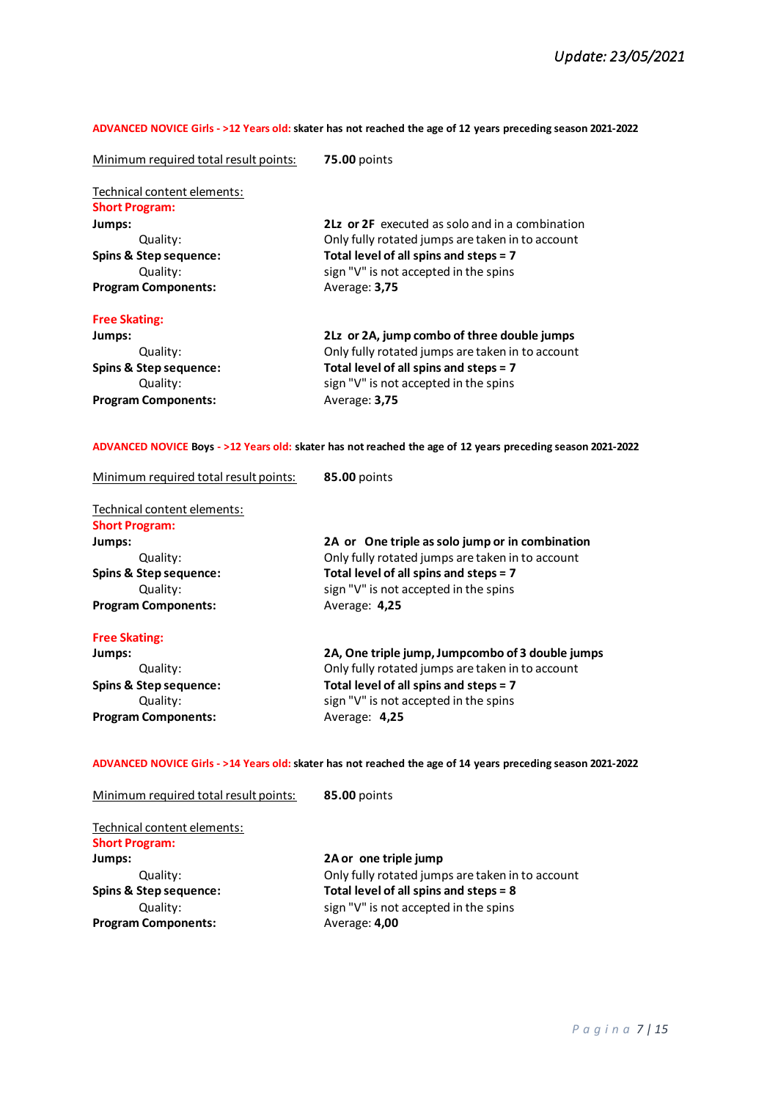#### **ADVANCED NOVICE Girls - >12 Years old: skater has not reached the age of 12 years preceding season 2021-2022**

| Minimum required total result points:                                                                                                                     | <b>75.00 points</b>                                                                                                                                                                                      |  |
|-----------------------------------------------------------------------------------------------------------------------------------------------------------|----------------------------------------------------------------------------------------------------------------------------------------------------------------------------------------------------------|--|
| Technical content elements:<br><b>Short Program:</b><br>Jumps:<br>Quality:<br><b>Spins &amp; Step sequence:</b><br>Quality:<br><b>Program Components:</b> | 2Lz or 2F executed as solo and in a combination<br>Only fully rotated jumps are taken in to account<br>Total level of all spins and steps = 7<br>sign "V" is not accepted in the spins<br>Average: 3,75  |  |
| <b>Free Skating:</b><br>Jumps:<br>Quality:<br><b>Spins &amp; Step sequence:</b><br>Quality:<br><b>Program Components:</b>                                 | 2Lz or 2A, jump combo of three double jumps<br>Only fully rotated jumps are taken in to account<br>Total level of all spins and steps = 7<br>sign "V" is not accepted in the spins<br>Average: 3,75      |  |
| ADVANCED NOVICE Boys - >12 Years old: skater has not reached the age of 12 years preceding season 2021-2022                                               |                                                                                                                                                                                                          |  |
| Minimum required total result points:<br>Technical content elements:<br><b>Short Program:</b><br>Jumps:<br>Quality:                                       | 85.00 points<br>2A or One triple as solo jump or in combination<br>Only fully rotated jumps are taken in to account                                                                                      |  |
| <b>Spins &amp; Step sequence:</b><br>Quality:<br><b>Program Components:</b>                                                                               | Total level of all spins and steps = 7<br>sign "V" is not accepted in the spins<br>Average: 4,25                                                                                                         |  |
| <b>Free Skating:</b><br>Jumps:<br>Quality:<br>Spins & Step sequence:<br>Quality:<br><b>Program Components:</b>                                            | 2A, One triple jump, Jumpcombo of 3 double jumps<br>Only fully rotated jumps are taken in to account<br>Total level of all spins and steps = 7<br>sign "V" is not accepted in the spins<br>Average: 4,25 |  |

# **ADVANCED NOVICE Girls - >14 Years old:skater has not reached the age of 14 years preceding season 2021-2022**

| Minimum required total result points: | 85.00 points                                     |
|---------------------------------------|--------------------------------------------------|
| Technical content elements:           |                                                  |
| <b>Short Program:</b>                 |                                                  |
| Jumps:                                | 2A or one triple jump                            |
| Quality:                              | Only fully rotated jumps are taken in to account |
| <b>Spins &amp; Step sequence:</b>     | Total level of all spins and steps = 8           |
| Quality:                              | sign "V" is not accepted in the spins            |
| <b>Program Components:</b>            | Average: 4,00                                    |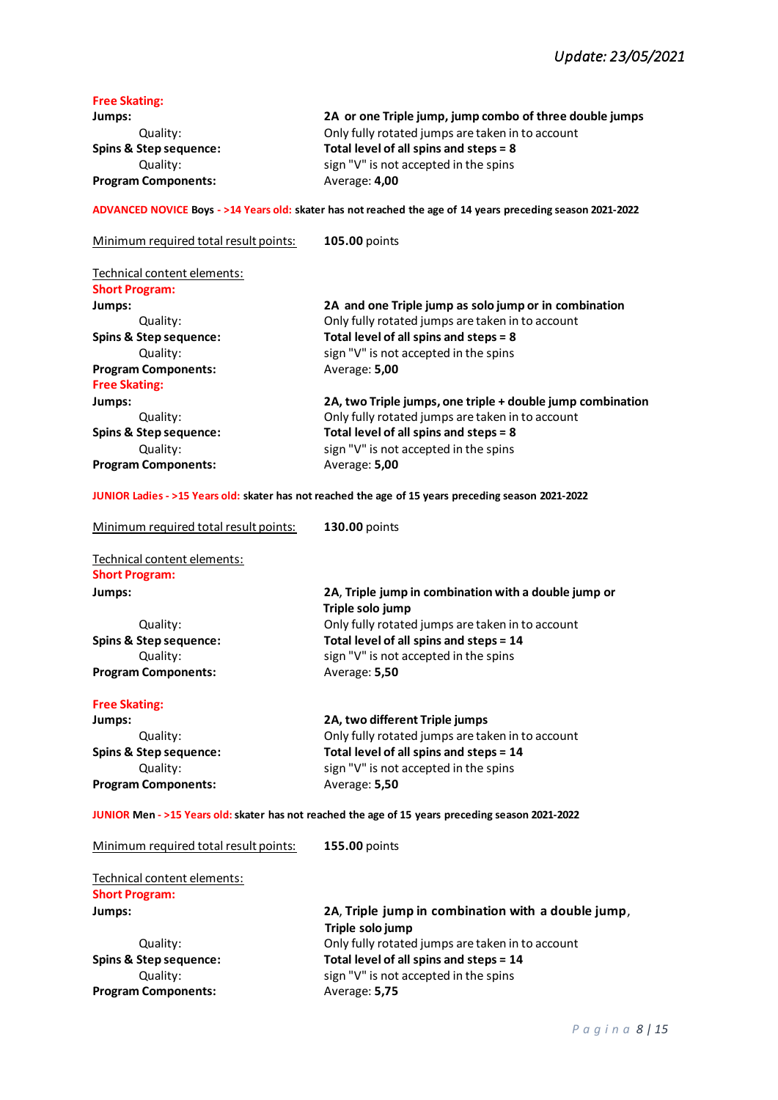| <b>Free Skating:</b><br>Jumps:                       | 2A or one Triple jump, jump combo of three double jumps                                                     |
|------------------------------------------------------|-------------------------------------------------------------------------------------------------------------|
| Quality:                                             | Only fully rotated jumps are taken in to account                                                            |
| Spins & Step sequence:                               | Total level of all spins and steps = 8                                                                      |
| Quality:                                             | sign "V" is not accepted in the spins                                                                       |
| <b>Program Components:</b>                           | Average: 4,00                                                                                               |
|                                                      | ADVANCED NOVICE Boys - >14 Years old: skater has not reached the age of 14 years preceding season 2021-2022 |
| Minimum required total result points:                | 105.00 points                                                                                               |
| Technical content elements:<br><b>Short Program:</b> |                                                                                                             |
| Jumps:                                               | 2A and one Triple jump as solo jump or in combination                                                       |
| Quality:                                             | Only fully rotated jumps are taken in to account                                                            |
| Spins & Step sequence:                               | Total level of all spins and steps = 8                                                                      |
| Quality:                                             | sign "V" is not accepted in the spins                                                                       |
| <b>Program Components:</b><br><b>Free Skating:</b>   | Average: 5,00                                                                                               |
| Jumps:                                               | 2A, two Triple jumps, one triple + double jump combination                                                  |
| Quality:                                             | Only fully rotated jumps are taken in to account                                                            |
| Spins & Step sequence:                               | Total level of all spins and steps = 8                                                                      |
| Quality:                                             | sign "V" is not accepted in the spins                                                                       |
| <b>Program Components:</b>                           | Average: 5,00                                                                                               |
|                                                      | JUNIOR Ladies - >15 Years old: skater has not reached the age of 15 years preceding season 2021-2022        |
| Minimum required total result points:                | 130.00 points                                                                                               |
| Technical content elements:<br><b>Short Program:</b> |                                                                                                             |
| Jumps:                                               | 2A, Triple jump in combination with a double jump or                                                        |
|                                                      | Triple solo jump                                                                                            |
| Quality:                                             | Only fully rotated jumps are taken in to account                                                            |
| Spins & Step sequence:                               | Total level of all spins and steps = 14                                                                     |
| Quality:                                             | sign "V" is not accepted in the spins                                                                       |
| <b>Program Components:</b>                           | Average: 5,50                                                                                               |
| <b>Free Skating:</b>                                 |                                                                                                             |
| Jumps:                                               | 2A, two different Triple jumps                                                                              |
| Quality:                                             | Only fully rotated jumps are taken in to account                                                            |
| <b>Spins &amp; Step sequence:</b>                    | Total level of all spins and steps = 14                                                                     |
| Quality:                                             | sign "V" is not accepted in the spins                                                                       |
| <b>Program Components:</b>                           | Average: 5,50                                                                                               |
|                                                      | JUNIOR Men - >15 Years old: skater has not reached the age of 15 years preceding season 2021-2022           |
| Minimum required total result points:                | 155.00 points                                                                                               |
| Technical content elements:<br><b>Short Program:</b> |                                                                                                             |
| Jumps:                                               | 2A, Triple jump in combination with a double jump,                                                          |
|                                                      | Triple solo jump                                                                                            |
| Quality:                                             | Only fully rotated jumps are taken in to account                                                            |
| Spins & Step sequence:                               | Total level of all spins and steps = 14                                                                     |
| Quality:                                             | sign "V" is not accepted in the spins                                                                       |
| <b>Program Components:</b>                           | Average: 5,75                                                                                               |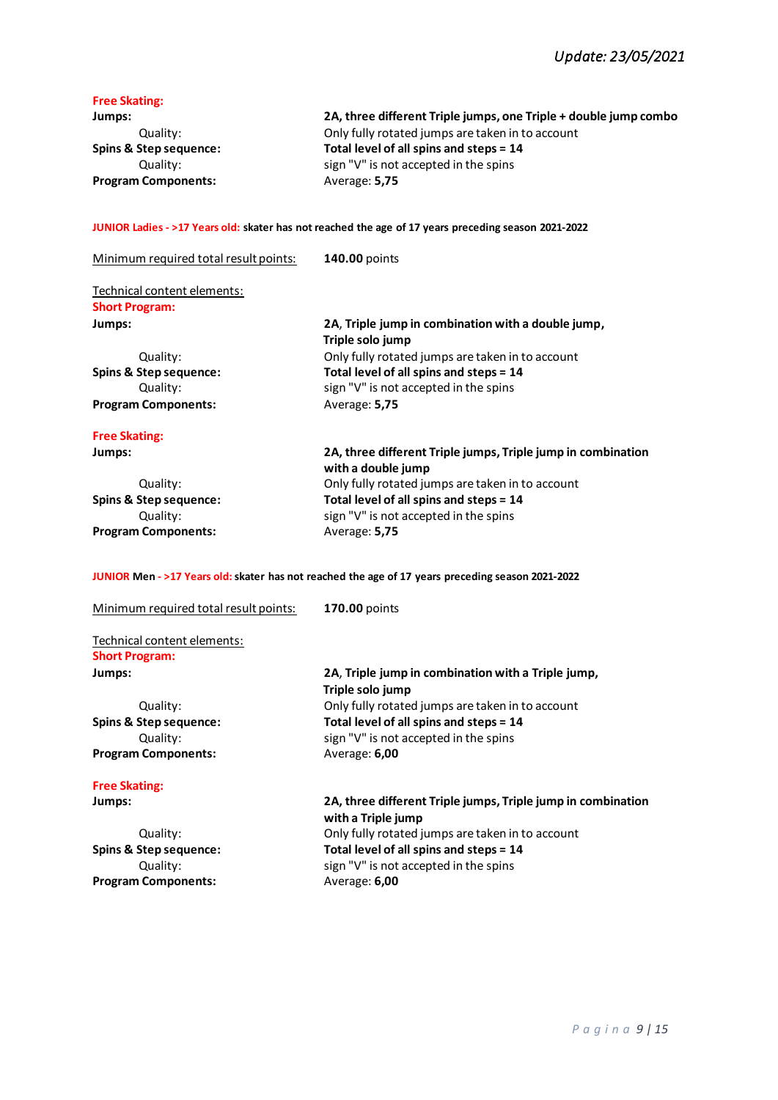# **Free Skating:**

| Jumps:                     | 2A, three different Triple jumps, one Triple + double jump combo |
|----------------------------|------------------------------------------------------------------|
| Quality:                   | Only fully rotated jumps are taken in to account                 |
| Spins & Step sequence:     | Total level of all spins and steps = 14                          |
| Quality:                   | sign "V" is not accepted in the spins                            |
| <b>Program Components:</b> | Average: 5,75                                                    |

### **JUNIOR Ladies - >17 Years old: skater has not reached the age of 17 years preceding season 2021-2022**

| Minimum required total result points: | 140.00 points                                                                      |
|---------------------------------------|------------------------------------------------------------------------------------|
| Technical content elements:           |                                                                                    |
| <b>Short Program:</b>                 |                                                                                    |
| Jumps:                                | 2A, Triple jump in combination with a double jump,<br>Triple solo jump             |
| Quality:                              | Only fully rotated jumps are taken in to account                                   |
| Spins & Step sequence:                | Total level of all spins and steps = 14                                            |
| Quality:                              | sign "V" is not accepted in the spins                                              |
| <b>Program Components:</b>            | Average: 5,75                                                                      |
| <b>Free Skating:</b>                  |                                                                                    |
| Jumps:                                | 2A, three different Triple jumps, Triple jump in combination<br>with a double jump |
| Quality:                              | Only fully rotated jumps are taken in to account                                   |
| Spins & Step sequence:                | Total level of all spins and steps = 14                                            |
| Quality:                              | sign "V" is not accepted in the spins                                              |
| <b>Program Components:</b>            | Average: 5,75                                                                      |

# **JUNIOR Men - >17 Years old:skater has not reached the age of 17 years preceding season 2021-2022**

| Minimum required total result points: | <b>170.00 points</b>                                                               |
|---------------------------------------|------------------------------------------------------------------------------------|
| Technical content elements:           |                                                                                    |
| <b>Short Program:</b>                 |                                                                                    |
| Jumps:                                | 2A, Triple jump in combination with a Triple jump,<br>Triple solo jump             |
| Quality:                              | Only fully rotated jumps are taken in to account                                   |
| <b>Spins &amp; Step sequence:</b>     | Total level of all spins and steps = 14                                            |
| Quality:                              | sign "V" is not accepted in the spins                                              |
| <b>Program Components:</b>            | Average: 6,00                                                                      |
| <b>Free Skating:</b>                  |                                                                                    |
| Jumps:                                | 2A, three different Triple jumps, Triple jump in combination<br>with a Triple jump |
| Quality:                              | Only fully rotated jumps are taken in to account                                   |
| Spins & Step sequence:                | Total level of all spins and steps = 14                                            |
| Quality:                              | sign "V" is not accepted in the spins                                              |
| <b>Program Components:</b>            | Average: 6,00                                                                      |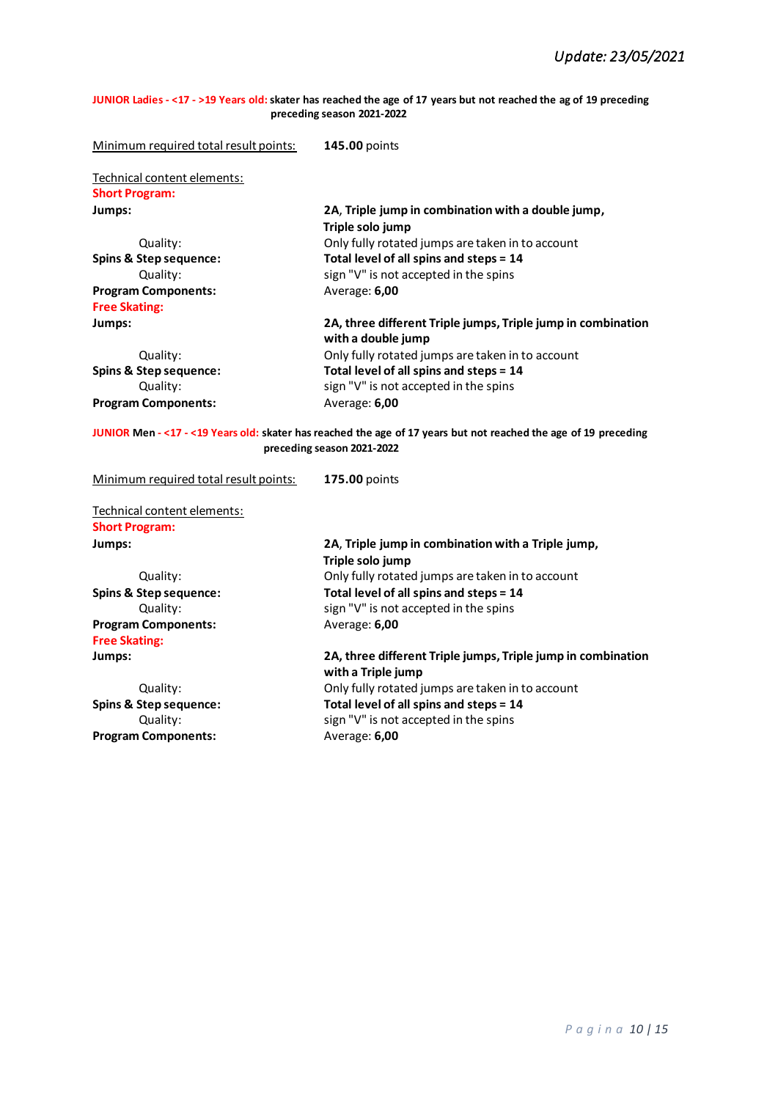**JUNIOR Ladies - <17 - >19 Years old: skater has reached the age of 17 years but not reached the ag of 19 preceding preceding season 2021-2022**

| Minimum required total result points:                                                                                                          | 145.00 points                                                                               |  |
|------------------------------------------------------------------------------------------------------------------------------------------------|---------------------------------------------------------------------------------------------|--|
| Technical content elements:                                                                                                                    |                                                                                             |  |
| <b>Short Program:</b>                                                                                                                          |                                                                                             |  |
| Jumps:                                                                                                                                         | 2A, Triple jump in combination with a double jump,                                          |  |
|                                                                                                                                                | Triple solo jump                                                                            |  |
| Quality:                                                                                                                                       | Only fully rotated jumps are taken in to account                                            |  |
| Spins & Step sequence:                                                                                                                         | Total level of all spins and steps = 14                                                     |  |
| Quality:                                                                                                                                       | sign "V" is not accepted in the spins                                                       |  |
| <b>Program Components:</b>                                                                                                                     | Average: 6,00                                                                               |  |
| <b>Free Skating:</b>                                                                                                                           |                                                                                             |  |
| Jumps:                                                                                                                                         | 2A, three different Triple jumps, Triple jump in combination                                |  |
|                                                                                                                                                | with a double jump                                                                          |  |
| Quality:                                                                                                                                       | Only fully rotated jumps are taken in to account                                            |  |
| Spins & Step sequence:                                                                                                                         | Total level of all spins and steps = 14                                                     |  |
| Quality:                                                                                                                                       | sign "V" is not accepted in the spins                                                       |  |
| <b>Program Components:</b>                                                                                                                     | Average: 6,00                                                                               |  |
| JUNIOR Men - <17 - <19 Years old: skater has reached the age of 17 years but not reached the age of 19 preceding<br>preceding season 2021-2022 |                                                                                             |  |
|                                                                                                                                                |                                                                                             |  |
| Minimum required total result points:                                                                                                          | 175.00 points                                                                               |  |
|                                                                                                                                                |                                                                                             |  |
| Technical content elements:<br><b>Short Program:</b>                                                                                           |                                                                                             |  |
| Jumps:                                                                                                                                         | 2A, Triple jump in combination with a Triple jump,                                          |  |
|                                                                                                                                                | Triple solo jump                                                                            |  |
| Quality:                                                                                                                                       |                                                                                             |  |
| <b>Spins &amp; Step sequence:</b>                                                                                                              | Only fully rotated jumps are taken in to account<br>Total level of all spins and steps = 14 |  |
| Quality:                                                                                                                                       | sign "V" is not accepted in the spins                                                       |  |
| <b>Program Components:</b>                                                                                                                     | Average: 6,00                                                                               |  |
| <b>Free Skating:</b>                                                                                                                           |                                                                                             |  |
| Jumps:                                                                                                                                         | 2A, three different Triple jumps, Triple jump in combination                                |  |
|                                                                                                                                                | with a Triple jump                                                                          |  |
| Quality:                                                                                                                                       | Only fully rotated jumps are taken in to account                                            |  |
| <b>Spins &amp; Step sequence:</b>                                                                                                              | Total level of all spins and steps = 14                                                     |  |
| Quality:<br><b>Program Components:</b>                                                                                                         | sign "V" is not accepted in the spins<br>Average: 6,00                                      |  |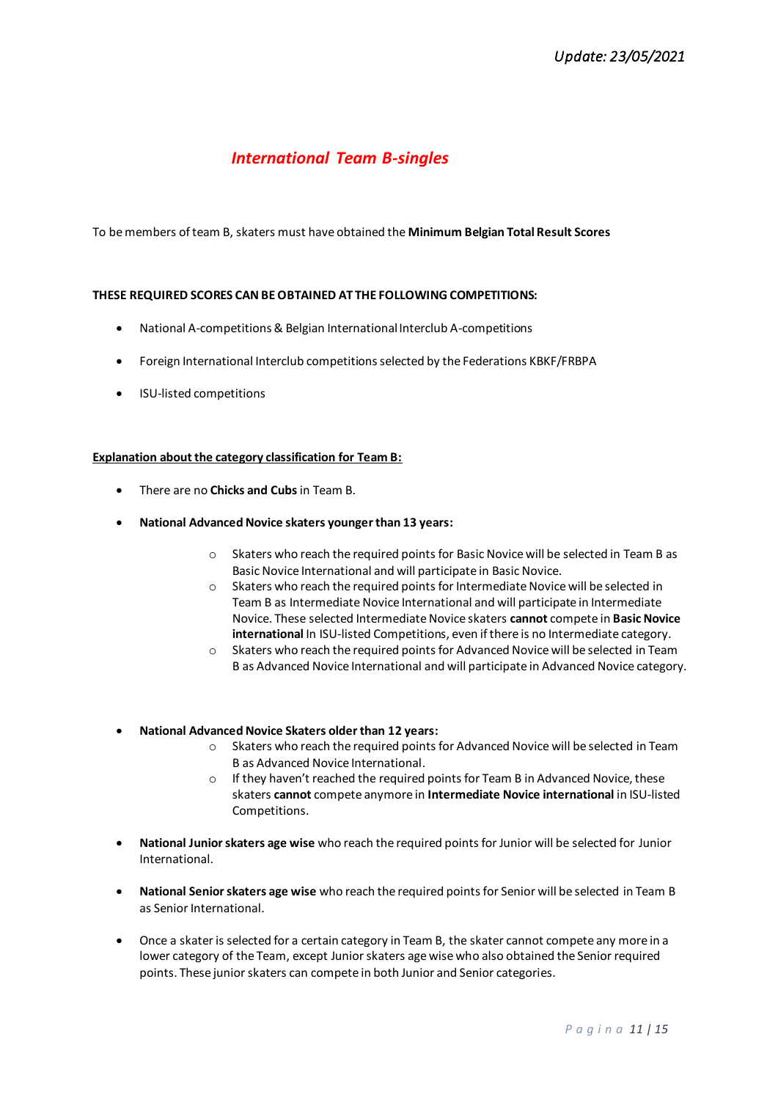# *International Team B-singles*

To be members of team B, skaters must have obtained the **Minimum Belgian Total Result Scores**

# **THESE REQUIRED SCORES CAN BE OBTAINED AT THE FOLLOWING COMPETITIONS:**

- National A-competitions& Belgian International Interclub A-competitions
- Foreign International Interclub competitionsselected by the Federations KBKF/FRBPA
- ISU-listed competitions

### **Explanation about the category classification for Team B:**

- There are no **Chicks and Cubs**in Team B.
- **National Advanced Novice skaters younger than 13 years:**
	- o Skaters who reach the required points for Basic Novice will be selected in Team B as Basic Novice International and will participate in Basic Novice.
	- o Skaters who reach the required points for Intermediate Novice will be selected in Team B as Intermediate Novice International and will participate in Intermediate Novice. These selected Intermediate Novice skaters **cannot** compete in **Basic Novice international** In ISU-listed Competitions, even if there is no Intermediate category.
	- o Skaters who reach the required points for Advanced Novice will be selected in Team B as Advanced Novice International and will participate in Advanced Novice category.
- **National Advanced Novice Skaters older than 12 years:**
	- o Skaters who reach the required points for Advanced Novice will be selected in Team B as Advanced Novice International.
	- o If they haven't reached the required points for Team B in Advanced Novice, these skaters **cannot** compete anymore in **Intermediate Novice international** in ISU-listed Competitions.
- **National Junior skaters age wise** who reach the required points for Junior will be selected for Junior International.
- **National Senior skaters age wise** who reach the required points for Senior will be selected in Team B as Senior International.
- Once a skater is selected for a certain category in Team B, the skater cannot compete any more in a lower category of the Team, except Junior skaters age wise who also obtained the Senior required points. These junior skaters can compete in both Junior and Senior categories.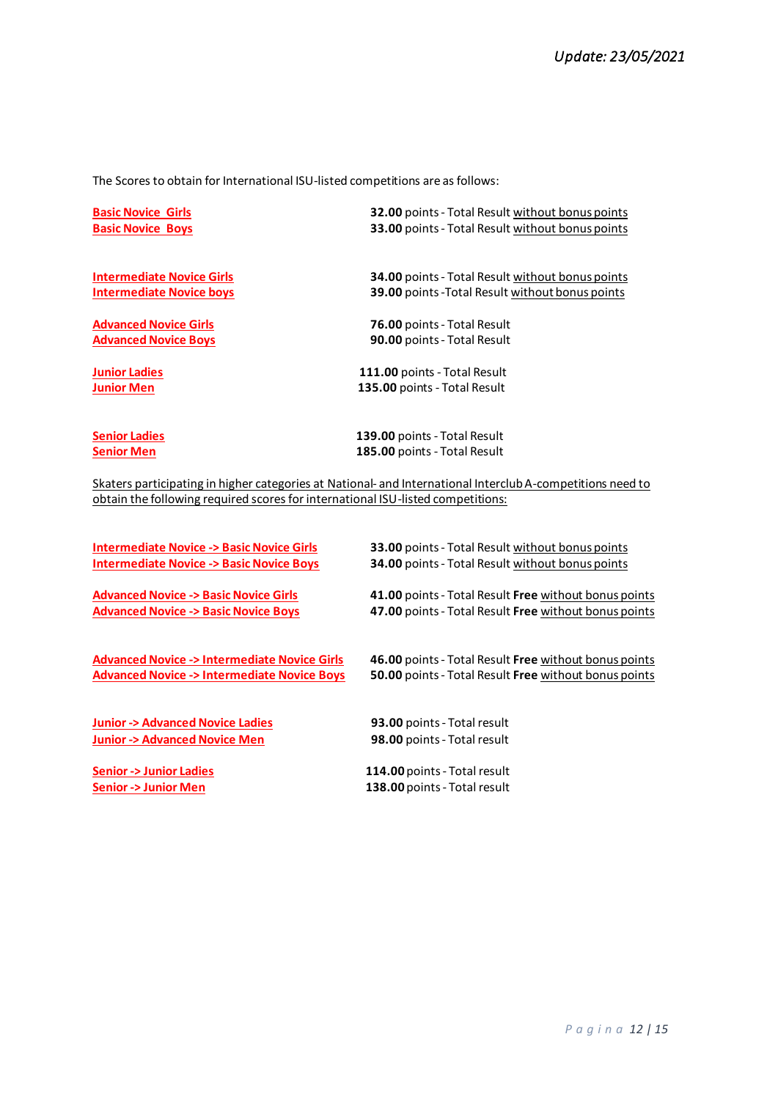The Scores to obtain for International ISU-listed competitions are as follows:

| <b>Basic Novice Girls</b>        | <b>32.00</b> points - Total Result without bonus points |
|----------------------------------|---------------------------------------------------------|
| <b>Basic Novice Boys</b>         | <b>33.00</b> points - Total Result without bonus points |
| <b>Intermediate Novice Girls</b> | <b>34.00</b> points - Total Result without bonus points |
| <b>Intermediate Novice boys</b>  | <b>39.00</b> points - Total Result without bonus points |
| <b>Advanced Novice Girls</b>     | <b>76.00 points - Total Result</b>                      |
| <b>Advanced Novice Boys</b>      | 90.00 points - Total Result                             |
| <b>Junior Ladies</b>             | 111.00 points - Total Result                            |
| <b>Junior Men</b>                | 135.00 points - Total Result                            |
| <b>Senior Ladies</b>             | 139.00 points - Total Result                            |
| Senior Men                       | 185.00 points - Total Result                            |

Skaters participating in higher categories at National- and International Interclub A-competitions need to obtain the following required scores for international ISU-listed competitions:

| <b>Intermediate Novice -&gt; Basic Novice Girls</b>    | <b>33.00</b> points - Total Result without bonus points |
|--------------------------------------------------------|---------------------------------------------------------|
| <b>Intermediate Novice -&gt; Basic Novice Boys</b>     | 34.00 points - Total Result without bonus points        |
| <b>Advanced Novice -&gt; Basic Novice Girls</b>        | 41.00 points - Total Result Free without bonus points   |
| <b>Advanced Novice -&gt; Basic Novice Boys</b>         | 47.00 points - Total Result Free without bonus points   |
| <b>Advanced Novice -&gt; Intermediate Novice Girls</b> | 46.00 points - Total Result Free without bonus points   |
| <b>Advanced Novice -&gt; Intermediate Novice Boys</b>  | 50.00 points - Total Result Free without bonus points   |
| <b>Junior -&gt; Advanced Novice Ladies</b>             | 93.00 points - Total result                             |
| <b>Junior -&gt; Advanced Novice Men</b>                | 98.00 points - Total result                             |
| <b>Senior -&gt; Junior Ladies</b>                      | 114.00 points - Total result                            |
| <b>Senior -&gt; Junior Men</b>                         | 138.00 points - Total result                            |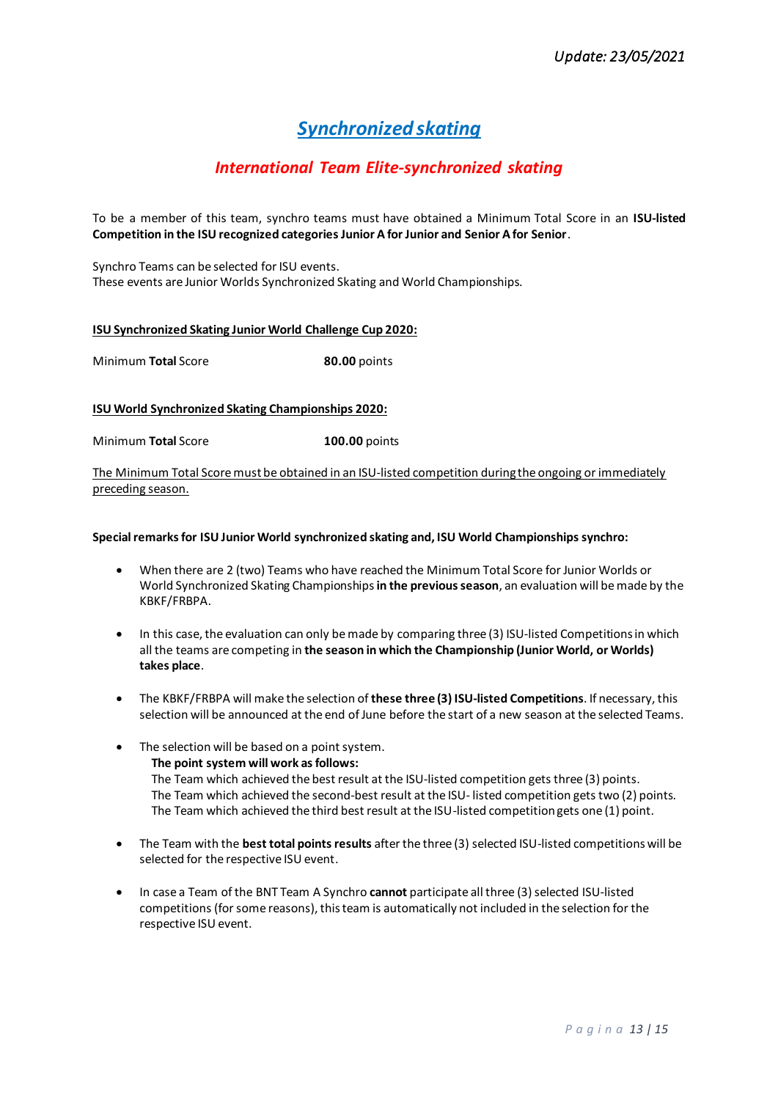# *Synchronized skating*

# *International Team Elite-synchronized skating*

To be a member of this team, synchro teams must have obtained a Minimum Total Score in an **ISU-listed Competition in the ISU recognized categories Junior A for Junior and Senior A for Senior**.

Synchro Teams can be selected for ISU events. These events are Junior Worlds Synchronized Skating and World Championships.

### **ISU Synchronized Skating Junior World Challenge Cup 2020:**

Minimum **Total** Score **80.00** points

# **ISU World Synchronized Skating Championships 2020:**

Minimum **Total** Score **100.00** points

The Minimum Total Score must be obtained in an ISU-listed competition during the ongoing or immediately preceding season.

#### **Special remarksfor ISU Junior World synchronized skating and, ISU World Championships synchro:**

- When there are 2 (two) Teams who have reached the Minimum Total Score for Junior Worlds or World Synchronized Skating Championships**in the previous season**, an evaluation will be made by the KBKF/FRBPA.
- In this case, the evaluation can only be made by comparing three (3) ISU-listed Competitions in which all the teams are competing in **the season in which the Championship (Junior World, or Worlds) takes place**.
- The KBKF/FRBPA will make the selection of **these three (3) ISU-listed Competitions**. If necessary, this selection will be announced at the end of June before the start of a new season at the selected Teams.
- The selection will be based on a point system.  **The point system will work as follows:** The Team which achieved the best result at the ISU-listed competition gets three (3) points. The Team which achieved the second-best result at the ISU- listed competition gets two (2) points. The Team which achieved the third best result at the ISU-listed competition gets one (1) point.
- The Team with the **best total points results** after the three (3) selected ISU-listed competitions will be selected for the respective ISU event.
- In case a Team of the BNT Team A Synchro **cannot** participate all three (3)selected ISU-listed competitions (for some reasons), this team is automatically not included in the selection for the respective ISU event.